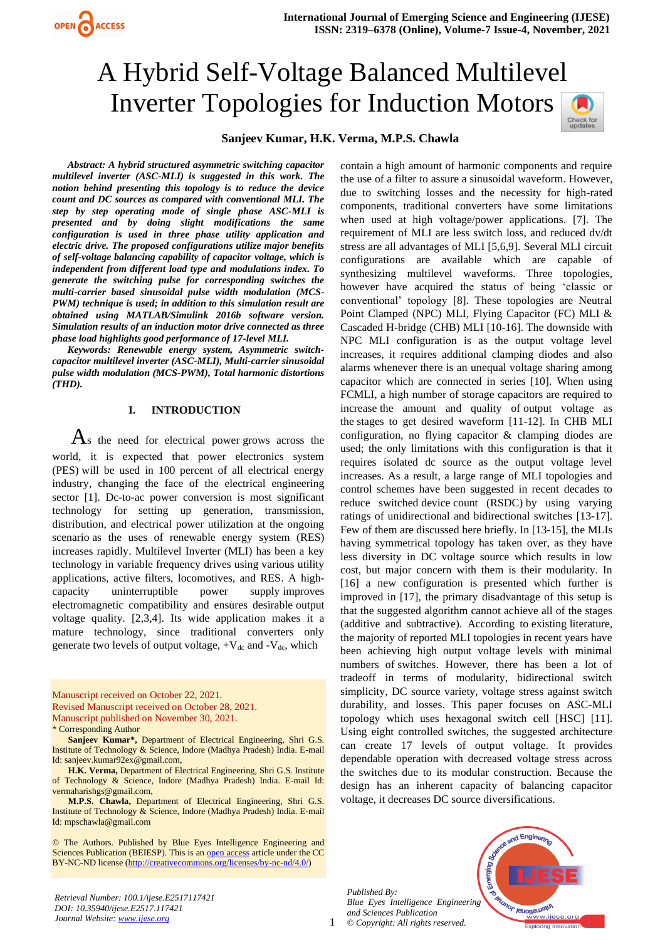# A Hybrid Self-Voltage Balanced Multilevel Inverter Topologies for Induction Motors



# **Sanjeev Kumar, H.K. Verma, M.P.S. Chawla**

*Abstract: A hybrid structured asymmetric switching capacitor multilevel inverter (ASC-MLI) is suggested in this work. The notion behind presenting this topology is to reduce the device count and DC sources as compared with conventional MLI. The step by step operating mode of single phase ASC-MLI is presented and by doing slight modifications the same configuration is used in three phase utility application and electric drive. The proposed configurations utilize major benefits of self-voltage balancing capability of capacitor voltage, which is independent from different load type and modulations index. To generate the switching pulse for corresponding switches the multi-carrier based sinusoidal pulse width modulation (MCS-PWM) technique is used; in addition to this simulation result are obtained using MATLAB/Simulink 2016b software version. Simulation results of an induction motor drive connected as three phase load highlights good performance of 17-level MLI.*

OPEN ACCESS

*Keywords: Renewable energy system, Asymmetric switchcapacitor multilevel inverter (ASC-MLI), Multi-carrier sinusoidal pulse width modulation (MCS-PWM), Total harmonic distortions (THD).*

#### **I. INTRODUCTION**

 $\mathbf{A}$ s the need for electrical power grows across the world, it is expected that power electronics system (PES) will be used in 100 percent of all electrical energy industry, changing the face of the electrical engineering sector [1]. Dc-to-ac power conversion is most significant technology for setting up generation, transmission, distribution, and electrical power utilization at the ongoing scenario as the uses of renewable energy system (RES) increases rapidly. Multilevel Inverter (MLI) has been a key technology in variable frequency drives using various utility applications, active filters, locomotives, and RES. A highcapacity uninterruptible power supply improves electromagnetic compatibility and ensures desirable output voltage quality. [2,3,4]. Its wide application makes it a mature technology, since traditional converters only generate two levels of output voltage,  $+V_{dc}$  and  $-V_{dc}$ , which

Manuscript received on October 22, 2021. Revised Manuscript received on October 28, 2021. Manuscript published on November 30, 2021.

\* Corresponding Author

**Sanjeev Kumar\*,** Department of Electrical Engineering, Shri G.S. Institute of Technology & Science, Indore (Madhya Pradesh) India. E-mail Id[: sanjeev.kumar92ex@gmail.com,](mailto:sanjeev.kumar92ex@gmail.com)

**H.K. Verma,** Department of Electrical Engineering, Shri G.S. Institute of Technology & Science, Indore (Madhya Pradesh) India. E-mail Id: [vermaharishgs@gmail.com,](mailto:vermaharishgs@gmail.com)

**M.P.S. Chawla,** Department of Electrical Engineering, Shri G.S. Institute of Technology & Science, Indore (Madhya Pradesh) India. E-mail Id: mpschawla@gmail.com

© The Authors. Published by Blue Eyes Intelligence Engineering and Sciences Publication (BEIESP). This is a[n open access](https://www.openaccess.nl/en/open-publications) article under the CC BY-NC-ND license [\(http://creativecommons.org/licenses/by-nc-nd/4.0/\)](http://creativecommons.org/licenses/by-nc-nd/4.0/)

*Retrieval Number: 100.1/ijese.E2517117421 DOI: 10.35940/ijese.E2517.117421 Journal Website: [www.ijese.org](http://www.ijese.org/)*

contain a high amount of harmonic components and require the use of a filter to assure a sinusoidal waveform. However, due to switching losses and the necessity for high-rated components, traditional converters have some limitations when used at high voltage/power applications. [7]. The requirement of MLI are less switch loss, and reduced dv/dt stress are all advantages of MLI [5,6,9]. Several MLI circuit configurations are available which are capable of synthesizing multilevel waveforms. Three topologies, however have acquired the status of being 'classic or conventional' topology [8]. These topologies are Neutral Point Clamped (NPC) MLI, Flying Capacitor (FC) MLI & Cascaded H-bridge (CHB) MLI [10-16]. The downside with NPC MLI configuration is as the output voltage level increases, it requires additional clamping diodes and also alarms whenever there is an unequal voltage sharing among capacitor which are connected in series [10]. When using FCMLI, a high number of storage capacitors are required to increase the amount and quality of output voltage as the stages to get desired waveform [11-12]. In CHB MLI configuration, no flying capacitor & clamping diodes are used; the only limitations with this configuration is that it requires isolated dc source as the output voltage level increases. As a result, a large range of MLI topologies and control schemes have been suggested in recent decades to reduce switched device count (RSDC) by using varying ratings of unidirectional and bidirectional switches [13-17]. Few of them are discussed here briefly. In [13-15], the MLIs having symmetrical topology has taken over, as they have less diversity in DC voltage source which results in low cost, but major concern with them is their modularity. In [16] a new configuration is presented which further is improved in [17], the primary disadvantage of this setup is that the suggested algorithm cannot achieve all of the stages (additive and subtractive). According to existing literature, the majority of reported MLI topologies in recent years have been achieving high output voltage levels with minimal numbers of switches. However, there has been a lot of tradeoff in terms of modularity, bidirectional switch simplicity, DC source variety, voltage stress against switch durability, and losses. This paper focuses on ASC-MLI topology which uses hexagonal switch cell [HSC] [11]. Using eight controlled switches, the suggested architecture can create 17 levels of output voltage. It provides dependable operation with decreased voltage stress across the switches due to its modular construction. Because the design has an inherent capacity of balancing capacitor voltage, it decreases DC source diversifications.

1 *© Copyright: All rights reserved. Published By: Blue Eyes Intelligence Engineering and Sciences Publication*

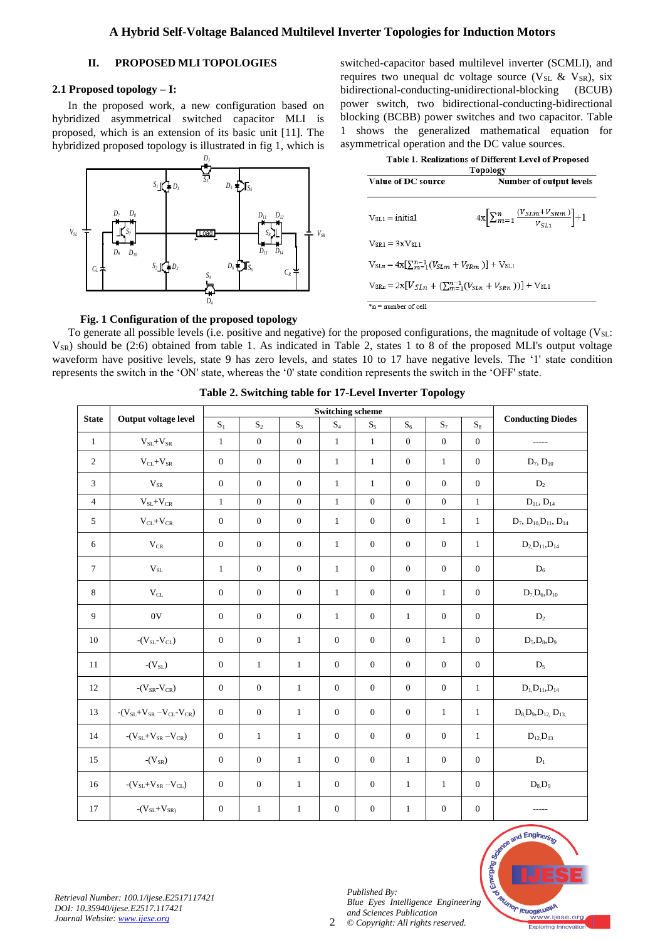# **II. PROPOSED MLI TOPOLOGIES**

#### **2.1 Proposed topology – I:**

In the proposed work, a new configuration based on hybridized asymmetrical switched capacitor MLI is proposed, which is an extension of its basic unit [11]. The hybridized proposed topology is illustrated in fig 1, which is



switched-capacitor based multilevel inverter (SCMLI), and requires two unequal dc voltage source ( $V_{SL}$  &  $V_{SR}$ ), six bidirectional-conducting-unidirectional-blocking (BCUB) power switch, two bidirectional-conducting-bidirectional blocking (BCBB) power switches and two capacitor. Table 1 shows the generalized mathematical equation for asymmetrical operation and the DC value sources.

| Table 1. Realizations of Different Level of Proposed<br><b>Topology</b>      |                                                                    |  |  |  |  |  |  |  |
|------------------------------------------------------------------------------|--------------------------------------------------------------------|--|--|--|--|--|--|--|
| Value of DC source                                                           | Number of output levels                                            |  |  |  |  |  |  |  |
| $V_{\rm SI,1} = \text{initial}$                                              | $4x\left[\sum_{m=1}^{n}\frac{(V_{SLm}+V_{SRm})}{V_{SLM}}\right]+1$ |  |  |  |  |  |  |  |
| $V_{SR1} = 3xV_{ST1}$                                                        |                                                                    |  |  |  |  |  |  |  |
| $V_{SLn} = 4x[\sum_{m=1}^{n-1} (V_{SLm} + V_{SRm})] + V_{SL1}$               |                                                                    |  |  |  |  |  |  |  |
| $V_{SRn} = 2x[V_{SI,n} + (\sum_{m=1}^{n-1} (V_{SI,n} + V_{SPn}))] + V_{SL1}$ |                                                                    |  |  |  |  |  |  |  |
| $*n$ = number of cell                                                        |                                                                    |  |  |  |  |  |  |  |

#### **Fig. 1 Configuration of the proposed topology**

To generate all possible levels (i.e. positive and negative) for the proposed configurations, the magnitude of voltage ( $V_{SL}$ :  $V_{SR}$ ) should be (2:6) obtained from table 1. As indicated in Table 2, states 1 to 8 of the proposed MLI's output voltage waveform have positive levels, state 9 has zero levels, and states 10 to 17 have negative levels. The '1' state condition represents the switch in the 'ON' state, whereas the '0' state condition represents the switch in the 'OFF' state.

| <b>State</b>   | Output voltage level             | <b>Switching scheme</b> |                  |                  |                |                  |                  |                |                  |                                     |
|----------------|----------------------------------|-------------------------|------------------|------------------|----------------|------------------|------------------|----------------|------------------|-------------------------------------|
|                |                                  | $S_1$                   | $\mathbf{S}_2$   | $S_3$            | $\mathrm{S}_4$ | $S_5$            | $S_6$            | $\mathbf{S}_7$ | $\mathrm{S}_8$   | <b>Conducting Diodes</b>            |
| $\mathbf{1}$   | $V_{SL}+V_{SR}$                  | $\mathbf{1}$            | $\mathbf{0}$     | $\overline{0}$   | $\mathbf{1}$   | $\mathbf{1}$     | $\mathbf{0}$     | $\mathbf{0}$   | $\mathbf{0}$     | -----                               |
| $\sqrt{2}$     | $V_{CL}+V_{SR}$                  | $\mathbf{0}$            | $\boldsymbol{0}$ | $\mathbf{0}$     | $\mathbf{1}$   | $\mathbf{1}$     | $\mathbf{0}$     | $\mathbf{1}$   | $\boldsymbol{0}$ | $D_7, D_{10}$                       |
| $\mathfrak{Z}$ | $V_{SR}$                         | $\mathbf{0}$            | $\boldsymbol{0}$ | $\mathbf{0}$     | $\mathbf{1}$   | $\mathbf{1}$     | $\mathbf{0}$     | $\mathbf{0}$   | $\boldsymbol{0}$ | $D_2$                               |
| $\overline{4}$ | $\rm V_{SL}{+}V_{CR}$            | $\mathbf{1}$            | $\boldsymbol{0}$ | $\mathbf{0}$     | $\mathbf{1}$   | $\mathbf{0}$     | $\mathbf{0}$     | $\mathbf{0}$   | $\mathbf{1}$     | $D_{11}$ , $D_{14}$                 |
| 5              | $\rm V_{CL+}V_{CR}$              | $\mathbf{0}$            | $\mathbf{0}$     | $\mathbf{0}$     | $\mathbf{1}$   | $\mathbf{0}$     | $\mathbf{0}$     | $\mathbf{1}$   | $\mathbf{1}$     | $D_7, D_{10}D_{11}, D_{14}$         |
| 6              | $\rm V_{CR}$                     | $\mathbf{0}$            | $\theta$         | $\mathbf{0}$     | $\mathbf{1}$   | $\boldsymbol{0}$ | $\mathbf{0}$     | $\mathbf{0}$   | $\mathbf{1}$     | $D_2, D_{11}, D_{14}$               |
| $\tau$         | $\rm V_{SL}$                     | $\mathbf{1}$            | $\theta$         | $\mathbf{0}$     | $\mathbf{1}$   | $\mathbf{0}$     | $\mathbf{0}$     | $\mathbf{0}$   | $\mathbf{0}$     | $\mathrm{D}_6$                      |
| 8              | $\rm V_{CL}$                     | $\mathbf{0}$            | $\mathbf{0}$     | $\mathbf{0}$     | $\mathbf{1}$   | $\boldsymbol{0}$ | $\boldsymbol{0}$ | $\mathbf{1}$   | $\mathbf{0}$     | $D_7 D_6$ , $D_{10}$                |
| 9              | $0\mathrm{V}$                    | $\mathbf{0}$            | $\mathbf{0}$     | $\boldsymbol{0}$ | $\mathbf{1}$   | $\mathbf{0}$     | $\mathbf{1}$     | $\mathbf{0}$   | $\mathbf{0}$     | $\mathbf{D}_2$                      |
| 10             | $-(V_{SL}-V_{CL})$               | $\overline{0}$          | $\boldsymbol{0}$ | $\mathbf{1}$     | $\overline{0}$ | $\mathbf{0}$     | $\mathbf{0}$     | $\mathbf{1}$   | $\boldsymbol{0}$ | $D_5, D_8, D_9$                     |
| 11             | $-(V_{SL})$                      | $\overline{0}$          | $\mathbf{1}$     | $\mathbf{1}$     | $\overline{0}$ | $\overline{0}$   | $\theta$         | $\mathbf{0}$   | $\mathbf{0}$     | $D_5$                               |
| 12             | $-(V_{SR}-V_{CR})$               | $\mathbf{0}$            | $\theta$         | $\mathbf{1}$     | $\mathbf{0}$   | $\mathbf{0}$     | $\mathbf{0}$     | $\mathbf{0}$   | $\mathbf{1}$     | $D_1, D_{11}, D_{14}$               |
| 13             | $-(V_{SL}+V_{SR}-V_{CL}-V_{CR})$ | $\overline{0}$          | $\mathbf{0}$     | $\mathbf{1}$     | $\overline{0}$ | $\mathbf{0}$     | $\mathbf{0}$     | $\mathbf{1}$   | $\mathbf{1}$     | $D_8$ , $D_9$ , $D_{12}$ , $D_{13}$ |
| 14             | $-(V_{SL}+V_{SR}-V_{CR})$        | $\overline{0}$          | $\mathbf{1}$     | $\mathbf{1}$     | $\overline{0}$ | $\overline{0}$   | $\mathbf{0}$     | $\mathbf{0}$   | $\mathbf{1}$     | $D_{12}$ , $D_{13}$                 |
| 15             | $-(V_{SR})$                      | $\mathbf{0}$            | $\mathbf{0}$     | $\mathbf{1}$     | $\mathbf{0}$   | $\mathbf{0}$     | $\mathbf{1}$     | $\mathbf{0}$   | $\mathbf{0}$     | $D_1$                               |
| 16             | $-(V_{SL}+V_{SR}-V_{CL})$        | $\mathbf{0}$            | $\mathbf{0}$     | $\mathbf{1}$     | $\mathbf{0}$   | $\mathbf{0}$     | $\mathbf{1}$     | $\mathbf{1}$   | $\mathbf{0}$     | $D_8$ , $D_9$                       |
| 17             | $-(V_{SL}+V_{SR})$               | $\mathbf{0}$            | $\mathbf{1}$     | $\mathbf{1}$     | $\mathbf{0}$   | $\boldsymbol{0}$ | $\mathbf{1}$     | $\mathbf{0}$   | $\theta$         |                                     |

 $\mathcal{L}$ 

**Table 2. Switching table for 17-Level Inverter Topology**



*Retrieval Number: 100.1/ijese.E2517117421 DOI: 10.35940/ijese.E2517.117421 Journal Website: [www.ijese.org](http://www.ijese.org/)*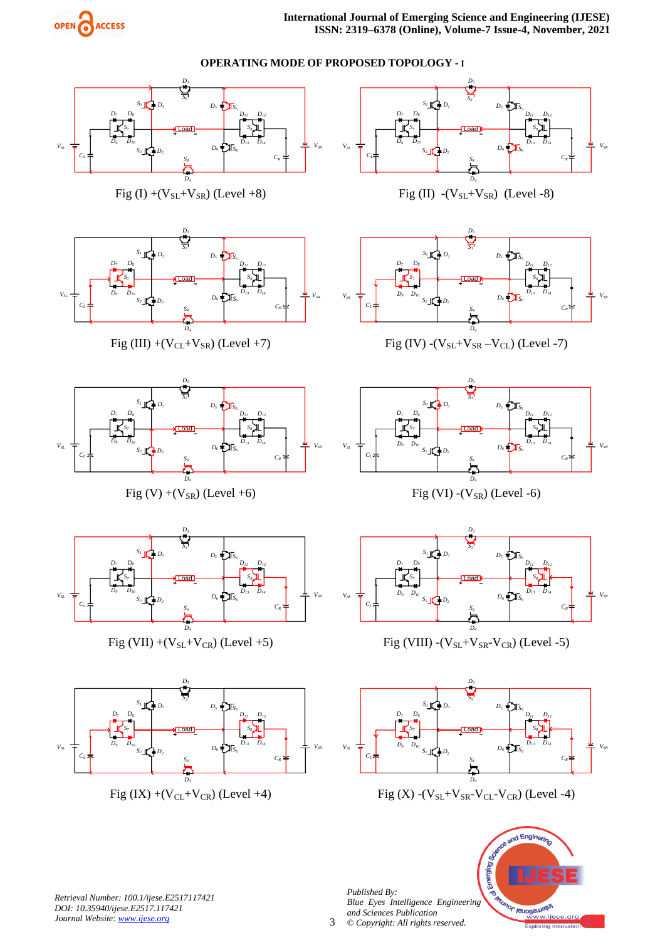



*Retrieval Number: 100.1/ijese.E2517117421 DOI: 10.35940/ijese.E2517.117421 Journal Website: [www.ijese.org](http://www.ijese.org/)*

*Blue Eyes Intelligence Engineering and Sciences Publication © Copyright: All rights reserved.*

**THROUGHLAND JOURNAL** 

ww.ijese

or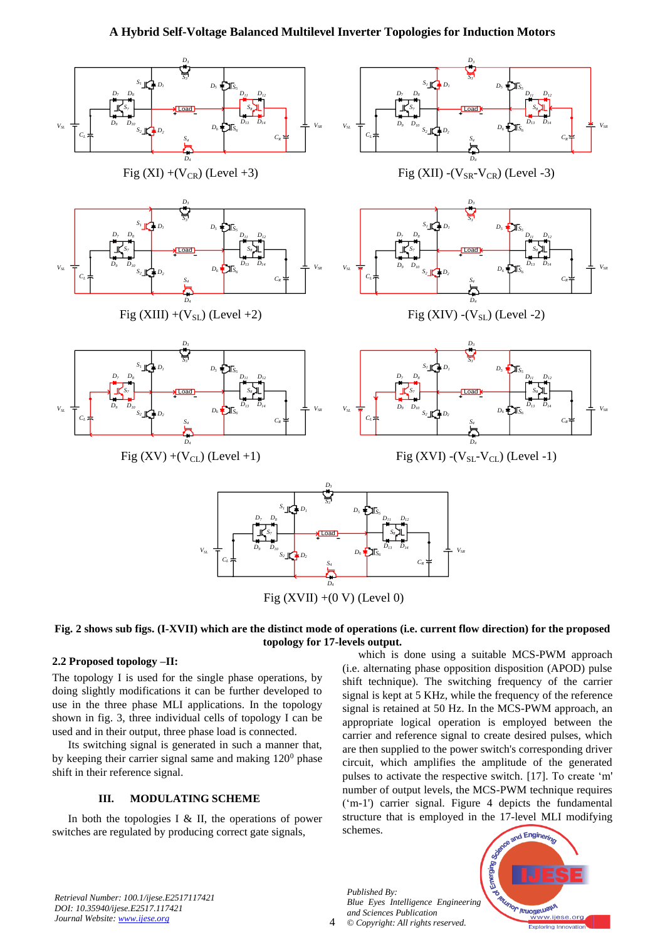# **A Hybrid Self-Voltage Balanced Multilevel Inverter Topologies for Induction Motors**



Fig  $(XVII) + (0 V)$  (Level 0)

#### **Fig. 2 shows sub figs. (I-XVII) which are the distinct mode of operations (i.e. current flow direction) for the proposed topology for 17-levels output.**

4

## **2.2 Proposed topology –II:**

The topology I is used for the single phase operations, by doing slightly modifications it can be further developed to use in the three phase MLI applications. In the topology shown in fig. 3, three individual cells of topology I can be used and in their output, three phase load is connected.

Its switching signal is generated in such a manner that, by keeping their carrier signal same and making  $120^{\circ}$  phase shift in their reference signal.

#### **III. MODULATING SCHEME**

In both the topologies I  $&$  II, the operations of power switches are regulated by producing correct gate signals,

which is done using a suitable MCS-PWM approach (i.e. alternating phase opposition disposition (APOD) pulse shift technique). The switching frequency of the carrier signal is kept at 5 KHz, while the frequency of the reference signal is retained at 50 Hz. In the MCS-PWM approach, an appropriate logical operation is employed between the carrier and reference signal to create desired pulses, which are then supplied to the power switch's corresponding driver circuit, which amplifies the amplitude of the generated pulses to activate the respective switch. [17]. To create 'm' number of output levels, the MCS-PWM technique requires ('m-1') carrier signal. Figure 4 depicts the fundamental structure that is employed in the 17-level MLI modifying schemes.

*Retrieval Number: 100.1/ijese.E2517117421 DOI: 10.35940/ijese.E2517.117421 Journal Website: [www.ijese.org](http://www.ijese.org/)*

*Published By: Blue Eyes Intelligence Engineering and Sciences Publication © Copyright: All rights reserved.*

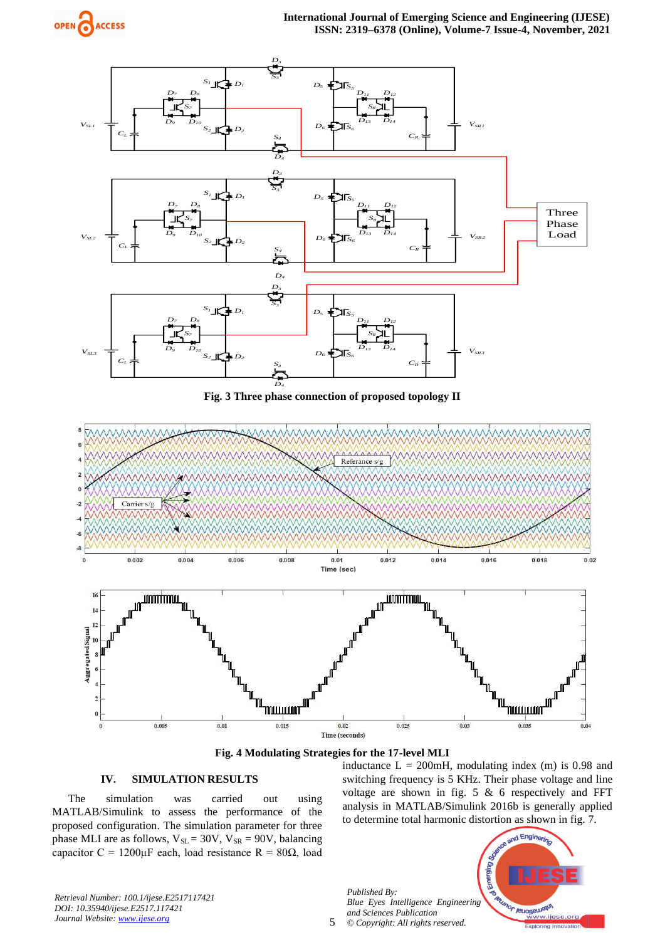



**Fig. 3 Three phase connection of proposed topology II**





## **IV. SIMULATION RESULTS**

The simulation was carried out using MATLAB/Simulink to assess the performance of the proposed configuration. The simulation parameter for three phase MLI are as follows,  $V_{SL} = 30V$ ,  $V_{SR} = 90V$ , balancing capacitor C = 1200 $\mu$ F each, load resistance R = 80 $\Omega$ , load inductance  $L = 200$ mH, modulating index (m) is 0.98 and switching frequency is 5 KHz. Their phase voltage and line voltage are shown in fig. 5 & 6 respectively and FFT analysis in MATLAB/Simulink 2016b is generally applied to determine total harmonic distortion as shown in fig. 7.

*Published By: Blue Eyes Intelligence Engineering and Sciences Publication © Copyright: All rights reserved.*



*Retrieval Number: 100.1/ijese.E2517117421 DOI: 10.35940/ijese.E2517.117421 Journal Website: [www.ijese.org](http://www.ijese.org/)*

5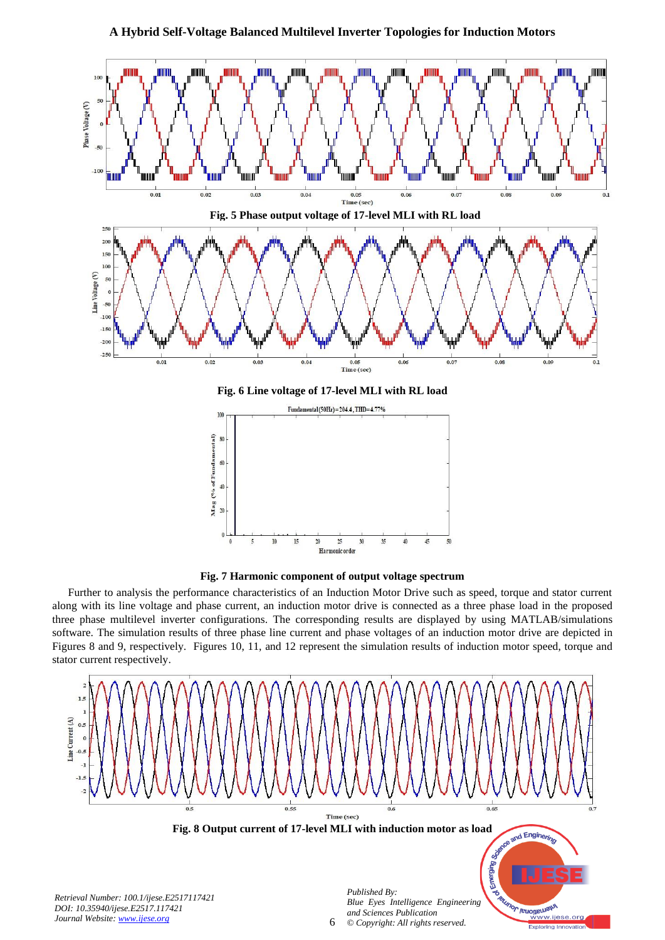





Further to analysis the performance characteristics of an Induction Motor Drive such as speed, torque and stator current along with its line voltage and phase current, an induction motor drive is connected as a three phase load in the proposed three phase multilevel inverter configurations. The corresponding results are displayed by using MATLAB/simulations software. The simulation results of three phase line current and phase voltages of an induction motor drive are depicted in Figures 8 and 9, respectively. Figures 10, 11, and 12 represent the simulation results of induction motor speed, torque and stator current respectively.

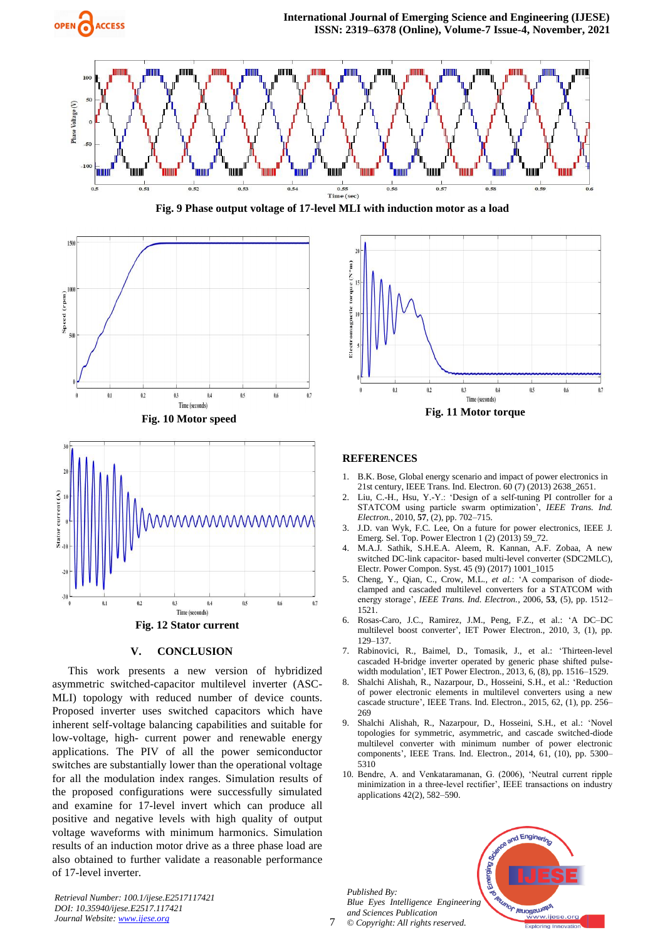









#### **V. CONCLUSION**

This work presents a new version of hybridized asymmetric switched-capacitor multilevel inverter (ASC-MLI) topology with reduced number of device counts. Proposed inverter uses switched capacitors which have inherent self-voltage balancing capabilities and suitable for low-voltage, high- current power and renewable energy applications. The PIV of all the power semiconductor switches are substantially lower than the operational voltage for all the modulation index ranges. Simulation results of the proposed configurations were successfully simulated and examine for 17-level invert which can produce all positive and negative levels with high quality of output voltage waveforms with minimum harmonics. Simulation results of an induction motor drive as a three phase load are also obtained to further validate a reasonable performance of 17-level inverter.

*Retrieval Number: 100.1/ijese.E2517117421 DOI: 10.35940/ijese.E2517.117421 Journal Website: [www.ijese.org](http://www.ijese.org/)*



#### **REFERENCES**

- 1. B.K. Bose, Global energy scenario and impact of power electronics in 21st century, IEEE Trans. Ind. Electron. 60 (7) (2013) 2638\_2651.
- 2. Liu, C.-H., Hsu, Y.-Y.: 'Design of a self-tuning PI controller for a STATCOM using particle swarm optimization', *IEEE Trans. Ind. Electron.*, 2010, **57**, (2), pp. 702–715.
- 3. J.D. van Wyk, F.C. Lee, On a future for power electronics, IEEE J. Emerg. Sel. Top. Power Electron 1 (2) (2013) 59\_72.
- 4. M.A.J. Sathik, S.H.E.A. Aleem, R. Kannan, A.F. Zobaa, A new switched DC-link capacitor- based multi-level converter (SDC2MLC), Electr. Power Compon. Syst. 45 (9) (2017) 1001\_1015
- 5. Cheng, Y., Qian, C., Crow, M.L.*, et al.*: 'A comparison of diodeclamped and cascaded multilevel converters for a STATCOM with energy storage', *IEEE Trans. Ind. Electron.*, 2006, **53**, (5), pp. 1512– 1521.
- 6. Rosas-Caro, J.C., Ramirez, J.M., Peng, F.Z., et al.: 'A DC–DC multilevel boost converter', IET Power Electron., 2010, 3, (1), pp. 129–137.
- 7. Rabinovici, R., Baimel, D., Tomasik, J., et al.: 'Thirteen-level cascaded H-bridge inverter operated by generic phase shifted pulsewidth modulation', IET Power Electron., 2013, 6, (8), pp. 1516–1529.
- 8. Shalchi Alishah, R., Nazarpour, D., Hosseini, S.H., et al.: 'Reduction of power electronic elements in multilevel converters using a new cascade structure', IEEE Trans. Ind. Electron., 2015, 62, (1), pp. 256– 269
- 9. Shalchi Alishah, R., Nazarpour, D., Hosseini, S.H., et al.: 'Novel topologies for symmetric, asymmetric, and cascade switched-diode multilevel converter with minimum number of power electronic components', IEEE Trans. Ind. Electron., 2014, 61, (10), pp. 5300– 5310
- 10. Bendre, A. and Venkataramanan, G. (2006), 'Neutral current ripple minimization in a three-level rectifier', IEEE transactions on industry applications 42(2), 582–590.

*Published By: Blue Eyes Intelligence Engineering and Sciences Publication © Copyright: All rights reserved.*



7